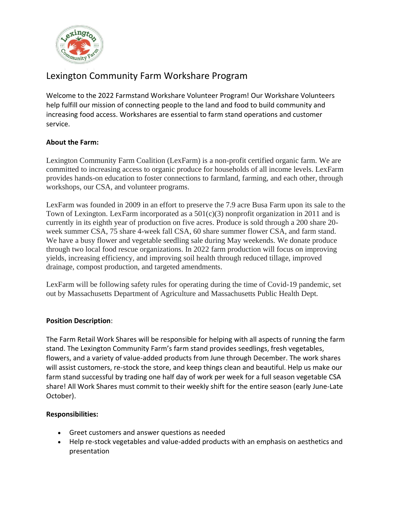

# Lexington Community Farm Workshare Program

Welcome to the 2022 Farmstand Workshare Volunteer Program! Our Workshare Volunteers help fulfill our mission of connecting people to the land and food to build community and increasing food access. Workshares are essential to farm stand operations and customer service.

## **About the Farm:**

Lexington Community Farm Coalition (LexFarm) is a non-profit certified organic farm. We are committed to increasing access to organic produce for households of all income levels. LexFarm provides hands-on education to foster connections to farmland, farming, and each other, through workshops, our CSA, and volunteer programs.

LexFarm was founded in 2009 in an effort to preserve the 7.9 acre Busa Farm upon its sale to the Town of Lexington. LexFarm incorporated as a  $501(c)(3)$  nonprofit organization in 2011 and is currently in its eighth year of production on five acres. Produce is sold through a 200 share 20 week summer CSA, 75 share 4-week fall CSA, 60 share summer flower CSA, and farm stand. We have a busy flower and vegetable seedling sale during May weekends. We donate produce through two local food rescue organizations. In 2022 farm production will focus on improving yields, increasing efficiency, and improving soil health through reduced tillage, improved drainage, compost production, and targeted amendments.

LexFarm will be following safety rules for operating during the time of Covid-19 pandemic, set out by Massachusetts Department of Agriculture and Massachusetts Public Health Dept.

## **Position Description**:

The Farm Retail Work Shares will be responsible for helping with all aspects of running the farm stand. The Lexington Community Farm's farm stand provides seedlings, fresh vegetables, flowers, and a variety of value-added products from June through December. The work shares will assist customers, re-stock the store, and keep things clean and beautiful. Help us make our farm stand successful by trading one half day of work per week for a full season vegetable CSA share! All Work Shares must commit to their weekly shift for the entire season (early June-Late October).

## **Responsibilities:**

- Greet customers and answer questions as needed
- Help re-stock vegetables and value-added products with an emphasis on aesthetics and presentation